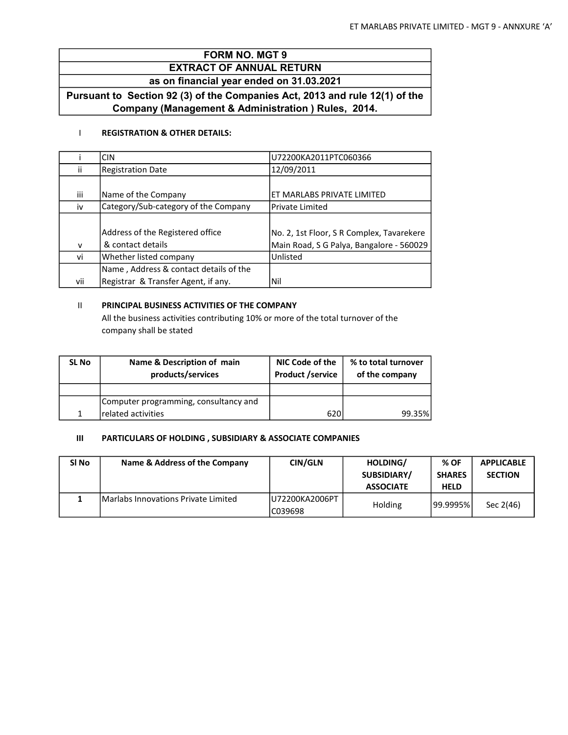# FORM NO. MGT 9

## EXTRACT OF ANNUAL RETURN as on financial year ended on 31.03.2021

Pursuant to Section 92 (3) of the Companies Act, 2013 and rule 12(1) of the Company (Management & Administration ) Rules, 2014.

## I REGISTRATION & OTHER DETAILS:

|     | <b>CIN</b>                             | U72200KA2011PTC060366                     |
|-----|----------------------------------------|-------------------------------------------|
| Ĥ.  | <b>Registration Date</b>               | 12/09/2011                                |
|     |                                        |                                           |
| Ш   | Name of the Company                    | ET MARLABS PRIVATE LIMITED                |
| iv  | Category/Sub-category of the Company   | Private Limited                           |
|     |                                        |                                           |
|     | Address of the Registered office       | No. 2, 1st Floor, S R Complex, Tavarekere |
| v   | & contact details                      | Main Road, S G Palya, Bangalore - 560029  |
| vi  | Whether listed company                 | <b>Unlisted</b>                           |
|     | Name, Address & contact details of the |                                           |
| vii | Registrar & Transfer Agent, if any.    | Nil                                       |

## II PRINCIPAL BUSINESS ACTIVITIES OF THE COMPANY

All the business activities contributing 10% or more of the total turnover of the company shall be stated

| <b>SL No</b> | Name & Description of main<br>products/services | NIC Code of the<br><b>Product /service</b> | % to total turnover<br>of the company |
|--------------|-------------------------------------------------|--------------------------------------------|---------------------------------------|
|              |                                                 |                                            |                                       |
|              | Computer programming, consultancy and           |                                            |                                       |
|              | related activities                              | 620                                        | 99.35%                                |

## III PARTICULARS OF HOLDING , SUBSIDIARY & ASSOCIATE COMPANIES

| SI No | Name & Address of the Company        | <b>CIN/GLN</b>              | HOLDING/<br>SUBSIDIARY/<br><b>ASSOCIATE</b> | % OF<br><b>SHARES</b><br><b>HELD</b> | <b>APPLICABLE</b><br><b>SECTION</b> |
|-------|--------------------------------------|-----------------------------|---------------------------------------------|--------------------------------------|-------------------------------------|
|       | IMarlabs Innovations Private Limited | IU72200KA2006PT<br>IC039698 | Holding                                     | 99.9995%                             | Sec 2(46)                           |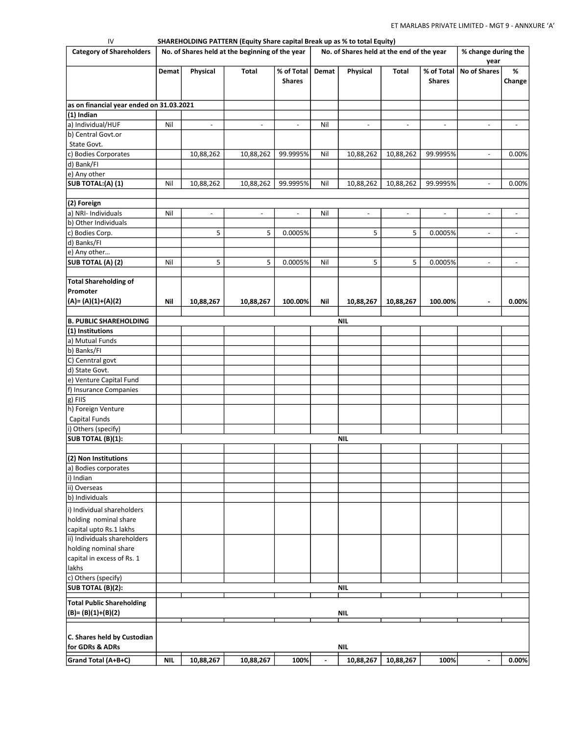| IV<br><b>Category of Shareholders</b>                             | SHAREHOLDING PATTERN (Equity Share capital Break up as % to total Equity)<br>No. of Shares held at the beginning of the year<br>No. of Shares held at the end of the year |                          |                          | % change during the         |       |                          |                          |                             |                             |                          |
|-------------------------------------------------------------------|---------------------------------------------------------------------------------------------------------------------------------------------------------------------------|--------------------------|--------------------------|-----------------------------|-------|--------------------------|--------------------------|-----------------------------|-----------------------------|--------------------------|
|                                                                   | Demat                                                                                                                                                                     | Physical                 | Total                    | % of Total<br><b>Shares</b> | Demat | Physical                 | Total                    | % of Total<br><b>Shares</b> | year<br><b>No of Shares</b> | %<br>Change              |
| as on financial year ended on 31.03.2021                          |                                                                                                                                                                           |                          |                          |                             |       |                          |                          |                             |                             |                          |
| $(1)$ Indian                                                      |                                                                                                                                                                           |                          |                          |                             |       |                          |                          |                             |                             |                          |
| a) Individual/HUF                                                 | Nil                                                                                                                                                                       | $\overline{\phantom{a}}$ | $\overline{\phantom{a}}$ | $\overline{\phantom{a}}$    | Nil   | $\overline{\phantom{a}}$ | $\overline{\phantom{a}}$ | $\overline{\phantom{a}}$    | $\overline{\phantom{a}}$    | $\overline{\phantom{a}}$ |
| b) Central Govt.or                                                |                                                                                                                                                                           |                          |                          |                             |       |                          |                          |                             |                             |                          |
| State Govt.                                                       |                                                                                                                                                                           |                          |                          |                             |       |                          |                          |                             |                             |                          |
| c) Bodies Corporates                                              |                                                                                                                                                                           | 10,88,262                | 10,88,262                | 99.9995%                    | Nil   | 10,88,262                | 10,88,262                | 99.9995%                    | $\overline{\phantom{a}}$    | 0.00%                    |
| d) Bank/Fl                                                        |                                                                                                                                                                           |                          |                          |                             |       |                          |                          |                             |                             |                          |
| e) Any other                                                      |                                                                                                                                                                           |                          |                          |                             |       |                          |                          |                             |                             |                          |
| SUB TOTAL:(A) (1)                                                 | Nil                                                                                                                                                                       | 10,88,262                | 10,88,262                | 99.9995%                    | Nil   | 10,88,262                | 10,88,262                | 99.9995%                    | $\overline{\phantom{a}}$    | 0.00%                    |
|                                                                   |                                                                                                                                                                           |                          |                          |                             |       |                          |                          |                             |                             |                          |
| (2) Foreign                                                       |                                                                                                                                                                           |                          |                          |                             |       |                          |                          |                             |                             |                          |
| a) NRI- Individuals                                               | Nil                                                                                                                                                                       | $\overline{\phantom{a}}$ | $\overline{\phantom{a}}$ | $\overline{\phantom{a}}$    | Nil   | $\overline{\phantom{a}}$ | $\overline{\phantom{a}}$ | $\overline{\phantom{a}}$    | $\overline{\phantom{a}}$    | $\overline{\phantom{a}}$ |
| b) Other Individuals                                              |                                                                                                                                                                           |                          |                          |                             |       |                          |                          |                             |                             |                          |
| c) Bodies Corp.                                                   |                                                                                                                                                                           | 5                        | 5                        | 0.0005%                     |       | 5                        | 5                        | 0.0005%                     | $\overline{\phantom{a}}$    | $\overline{\phantom{a}}$ |
| d) Banks/Fl                                                       |                                                                                                                                                                           |                          |                          |                             |       |                          |                          |                             |                             |                          |
| e) Any other                                                      |                                                                                                                                                                           |                          |                          |                             |       |                          |                          |                             |                             |                          |
| SUB TOTAL (A) (2)                                                 | Nil                                                                                                                                                                       | 5                        | 5                        | 0.0005%                     | Nil   | 5                        | 5                        | 0.0005%                     | $\overline{\phantom{a}}$    | $\overline{\phantom{a}}$ |
|                                                                   |                                                                                                                                                                           |                          |                          |                             |       |                          |                          |                             |                             |                          |
| <b>Total Shareholding of</b><br>Promoter<br>$(A) = (A)(1)+(A)(2)$ | Nil                                                                                                                                                                       | 10,88,267                | 10,88,267                | 100.00%                     | Nil   | 10,88,267                | 10,88,267                | 100.00%                     | $\blacksquare$              | 0.00%                    |
|                                                                   |                                                                                                                                                                           |                          |                          |                             |       |                          |                          |                             |                             |                          |
| <b>B. PUBLIC SHAREHOLDING</b>                                     |                                                                                                                                                                           |                          |                          |                             |       | NIL                      |                          |                             |                             |                          |
| $(1)$ Institutions                                                |                                                                                                                                                                           |                          |                          |                             |       |                          |                          |                             |                             |                          |
| a) Mutual Funds                                                   |                                                                                                                                                                           |                          |                          |                             |       |                          |                          |                             |                             |                          |
| b) Banks/FI                                                       |                                                                                                                                                                           |                          |                          |                             |       |                          |                          |                             |                             |                          |
| C) Cenntral govt                                                  |                                                                                                                                                                           |                          |                          |                             |       |                          |                          |                             |                             |                          |
| d) State Govt.                                                    |                                                                                                                                                                           |                          |                          |                             |       |                          |                          |                             |                             |                          |
| e) Venture Capital Fund                                           |                                                                                                                                                                           |                          |                          |                             |       |                          |                          |                             |                             |                          |
| f) Insurance Companies                                            |                                                                                                                                                                           |                          |                          |                             |       |                          |                          |                             |                             |                          |
| g) FIIS                                                           |                                                                                                                                                                           |                          |                          |                             |       |                          |                          |                             |                             |                          |
| h) Foreign Venture                                                |                                                                                                                                                                           |                          |                          |                             |       |                          |                          |                             |                             |                          |
| Capital Funds                                                     |                                                                                                                                                                           |                          |                          |                             |       |                          |                          |                             |                             |                          |
| i) Others (specify)                                               |                                                                                                                                                                           |                          |                          |                             |       |                          |                          |                             |                             |                          |
| SUB TOTAL (B)(1):                                                 |                                                                                                                                                                           |                          |                          |                             |       | NIL                      |                          |                             |                             |                          |
|                                                                   |                                                                                                                                                                           |                          |                          |                             |       |                          |                          |                             |                             |                          |
| (2) Non Institutions                                              |                                                                                                                                                                           |                          |                          |                             |       |                          |                          |                             |                             |                          |
| a) Bodies corporates                                              |                                                                                                                                                                           |                          |                          |                             |       |                          |                          |                             |                             |                          |
| i) Indian                                                         |                                                                                                                                                                           |                          |                          |                             |       |                          |                          |                             |                             |                          |
| ii) Overseas                                                      |                                                                                                                                                                           |                          |                          |                             |       |                          |                          |                             |                             |                          |
| b) Individuals                                                    |                                                                                                                                                                           |                          |                          |                             |       |                          |                          |                             |                             |                          |
| i) Individual shareholders                                        |                                                                                                                                                                           |                          |                          |                             |       |                          |                          |                             |                             |                          |
| holding nominal share                                             |                                                                                                                                                                           |                          |                          |                             |       |                          |                          |                             |                             |                          |
| capital upto Rs.1 lakhs                                           |                                                                                                                                                                           |                          |                          |                             |       |                          |                          |                             |                             |                          |
| ii) Individuals shareholders                                      |                                                                                                                                                                           |                          |                          |                             |       |                          |                          |                             |                             |                          |
| holding nominal share                                             |                                                                                                                                                                           |                          |                          |                             |       |                          |                          |                             |                             |                          |
| capital in excess of Rs. 1                                        |                                                                                                                                                                           |                          |                          |                             |       |                          |                          |                             |                             |                          |
| lakhs                                                             |                                                                                                                                                                           |                          |                          |                             |       |                          |                          |                             |                             |                          |
| c) Others (specify)                                               |                                                                                                                                                                           |                          |                          |                             |       |                          |                          |                             |                             |                          |
| <b>SUB TOTAL (B)(2):</b>                                          |                                                                                                                                                                           |                          |                          |                             |       | <b>NIL</b>               |                          |                             |                             |                          |
|                                                                   |                                                                                                                                                                           |                          |                          |                             |       |                          |                          |                             |                             |                          |
| <b>Total Public Shareholding</b><br>$(B) = (B)(1)+(B)(2)$         |                                                                                                                                                                           |                          |                          |                             |       | NIL                      |                          |                             |                             |                          |
| C. Shares held by Custodian<br>for GDRs & ADRs                    |                                                                                                                                                                           |                          |                          |                             |       | <b>NIL</b>               |                          |                             |                             |                          |
|                                                                   |                                                                                                                                                                           |                          |                          |                             |       |                          |                          |                             |                             |                          |
| Grand Total (A+B+C)                                               | <b>NIL</b>                                                                                                                                                                | 10,88,267                | 10,88,267                | 100%                        |       | 10,88,267                | 10,88,267                | 100%                        | $\blacksquare$              | 0.00%                    |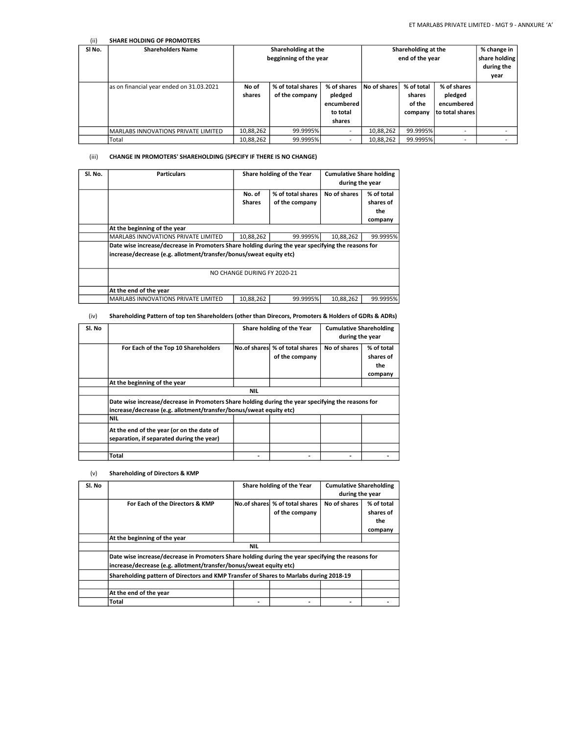| (iii) | <b>SHARE HOLDING OF PROMOTERS</b>        |                                               |                                     |                                                            |              |                                           |                                                         |  |
|-------|------------------------------------------|-----------------------------------------------|-------------------------------------|------------------------------------------------------------|--------------|-------------------------------------------|---------------------------------------------------------|--|
| SINO. | <b>Shareholders Name</b>                 | Shareholding at the<br>begginning of the year |                                     | Shareholding at the<br>end of the year                     |              |                                           | % change in<br>share holding<br>during the<br>year      |  |
|       | as on financial year ended on 31.03.2021 | No of<br>shares                               | % of total shares<br>of the company | % of shares<br>pledged<br>encumbered<br>to total<br>shares | No of shares | % of total<br>shares<br>of the<br>company | % of shares<br>pledged<br>encumbered<br>to total shares |  |
|       | MARLABS INNOVATIONS PRIVATE LIMITED      | 10,88,262                                     | 99.9995%                            | $\overline{\phantom{a}}$                                   | 10,88,262    | 99.9995%                                  | -                                                       |  |
|       | <b>Total</b>                             | 10,88,262                                     | 99.9995%                            | $\overline{\phantom{a}}$                                   | 10,88,262    | 99.9995%                                  | -                                                       |  |

#### (iii) CHANGE IN PROMOTERS' SHAREHOLDING (SPECIFY IF THERE IS NO CHANGE)

| Sl. No. | <b>Particulars</b>                                                                                                                                                      | Share holding of the Year |                                     | <b>Cumulative Share holding</b><br>during the year |                                           |  |  |  |
|---------|-------------------------------------------------------------------------------------------------------------------------------------------------------------------------|---------------------------|-------------------------------------|----------------------------------------------------|-------------------------------------------|--|--|--|
|         |                                                                                                                                                                         | No. of<br><b>Shares</b>   | % of total shares<br>of the company | No of shares                                       | % of total<br>shares of<br>the<br>company |  |  |  |
|         | At the beginning of the year                                                                                                                                            |                           |                                     |                                                    |                                           |  |  |  |
|         | <b>MARLABS INNOVATIONS PRIVATE LIMITED</b>                                                                                                                              | 10,88,262                 | 99.9995%                            | 10,88,262                                          | 99.9995%                                  |  |  |  |
|         | Date wise increase/decrease in Promoters Share holding during the year specifying the reasons for<br>increase/decrease (e.g. allotment/transfer/bonus/sweat equity etc) |                           |                                     |                                                    |                                           |  |  |  |
|         | NO CHANGE DURING FY 2020-21                                                                                                                                             |                           |                                     |                                                    |                                           |  |  |  |
|         | At the end of the year                                                                                                                                                  |                           |                                     |                                                    |                                           |  |  |  |
|         | <b>MARLABS INNOVATIONS PRIVATE LIMITED</b>                                                                                                                              | 10,88,262                 | 99.9995%                            | 10,88,262                                          | 99.9995%                                  |  |  |  |

#### (iv) Shareholding Pattern of top ten Shareholders (other than Direcors, Promoters & Holders of GDRs & ADRs)

| Sl. No |                                                                                                                                                                         | Share holding of the Year |                                                   | <b>Cumulative Shareholding</b><br>during the year |                                           |  |  |  |
|--------|-------------------------------------------------------------------------------------------------------------------------------------------------------------------------|---------------------------|---------------------------------------------------|---------------------------------------------------|-------------------------------------------|--|--|--|
|        | For Each of the Top 10 Shareholders                                                                                                                                     |                           | No.of shares \% of total shares<br>of the company | No of shares                                      | % of total<br>shares of<br>the<br>company |  |  |  |
|        | At the beginning of the year                                                                                                                                            |                           |                                                   |                                                   |                                           |  |  |  |
|        |                                                                                                                                                                         | <b>NIL</b>                |                                                   |                                                   |                                           |  |  |  |
|        | Date wise increase/decrease in Promoters Share holding during the year specifying the reasons for<br>increase/decrease (e.g. allotment/transfer/bonus/sweat equity etc) |                           |                                                   |                                                   |                                           |  |  |  |
|        | <b>NIL</b>                                                                                                                                                              |                           |                                                   |                                                   |                                           |  |  |  |
|        | At the end of the year (or on the date of<br>separation, if separated during the year)                                                                                  |                           |                                                   |                                                   |                                           |  |  |  |
|        |                                                                                                                                                                         |                           |                                                   |                                                   |                                           |  |  |  |
|        | Total                                                                                                                                                                   |                           |                                                   |                                                   |                                           |  |  |  |
|        |                                                                                                                                                                         |                           |                                                   |                                                   |                                           |  |  |  |

#### (v) Shareholding of Directors & KMP

| Sl. No |                                                                                                                                                                         | Share holding of the Year |                                                   | <b>Cumulative Shareholding</b><br>during the year |                                           |  |  |
|--------|-------------------------------------------------------------------------------------------------------------------------------------------------------------------------|---------------------------|---------------------------------------------------|---------------------------------------------------|-------------------------------------------|--|--|
|        | For Each of the Directors & KMP                                                                                                                                         |                           | No.of sharesl % of total shares<br>of the company | No of shares                                      | % of total<br>shares of<br>the<br>company |  |  |
|        | At the beginning of the year                                                                                                                                            |                           |                                                   |                                                   |                                           |  |  |
|        |                                                                                                                                                                         | <b>NIL</b>                |                                                   |                                                   |                                           |  |  |
|        | Date wise increase/decrease in Promoters Share holding during the year specifying the reasons for<br>increase/decrease (e.g. allotment/transfer/bonus/sweat equity etc) |                           |                                                   |                                                   |                                           |  |  |
|        | Shareholding pattern of Directors and KMP Transfer of Shares to Marlabs during 2018-19                                                                                  |                           |                                                   |                                                   |                                           |  |  |
|        |                                                                                                                                                                         |                           |                                                   |                                                   |                                           |  |  |
|        | At the end of the year                                                                                                                                                  |                           |                                                   |                                                   |                                           |  |  |
|        | Total                                                                                                                                                                   |                           |                                                   |                                                   |                                           |  |  |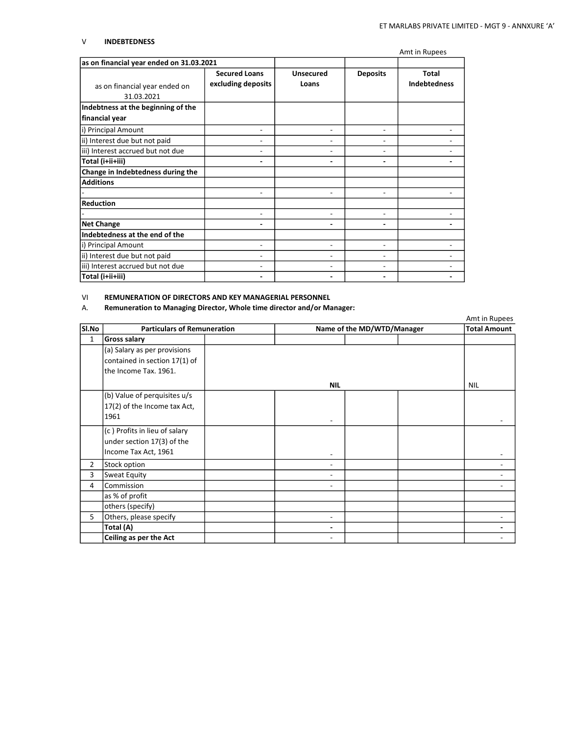#### V INDEBTEDNESS

|                                             |                                            |                           |                 | Amt in Rupees                       |
|---------------------------------------------|--------------------------------------------|---------------------------|-----------------|-------------------------------------|
| as on financial year ended on 31.03.2021    |                                            |                           |                 |                                     |
| as on financial year ended on<br>31.03.2021 | <b>Secured Loans</b><br>excluding deposits | <b>Unsecured</b><br>Loans | <b>Deposits</b> | <b>Total</b><br><b>Indebtedness</b> |
| Indebtness at the beginning of the          |                                            |                           |                 |                                     |
| financial year                              |                                            |                           |                 |                                     |
| i) Principal Amount                         | ۰                                          | ۰                         | $\overline{a}$  |                                     |
| ii) Interest due but not paid               |                                            |                           | ۰               |                                     |
| iii) Interest accrued but not due           |                                            |                           |                 |                                     |
| Total (i+ii+iii)                            |                                            |                           |                 |                                     |
| Change in Indebtedness during the           |                                            |                           |                 |                                     |
| <b>Additions</b>                            |                                            |                           |                 |                                     |
|                                             |                                            |                           |                 |                                     |
| <b>Reduction</b>                            |                                            |                           |                 |                                     |
|                                             |                                            | $\overline{a}$            | ٠               |                                     |
| <b>Net Change</b>                           |                                            |                           |                 |                                     |
| Indebtedness at the end of the              |                                            |                           |                 |                                     |
| i) Principal Amount                         | ۰                                          | -                         | ٠               |                                     |
| ii) Interest due but not paid               | ۰                                          | $\overline{a}$            | ۰               |                                     |
| iii) Interest accrued but not due           |                                            | ۰                         |                 |                                     |
| Total (i+ii+iii)                            |                                            |                           |                 |                                     |

#### VI REMUNERATION OF DIRECTORS AND KEY MANAGERIAL PERSONNEL

### A. Remuneration to Managing Director, Whole time director and/or Manager:

|                |                                    |                          |                            | Amt in Rupees       |
|----------------|------------------------------------|--------------------------|----------------------------|---------------------|
| Sl.No          | <b>Particulars of Remuneration</b> |                          | Name of the MD/WTD/Manager | <b>Total Amount</b> |
| $\mathbf{1}$   | <b>Gross salary</b>                |                          |                            |                     |
|                | (a) Salary as per provisions       |                          |                            |                     |
|                | contained in section 17(1) of      |                          |                            |                     |
|                | the Income Tax. 1961.              |                          |                            |                     |
|                |                                    | <b>NIL</b>               |                            | <b>NIL</b>          |
|                | (b) Value of perquisites u/s       |                          |                            |                     |
|                | 17(2) of the Income tax Act,       |                          |                            |                     |
|                | 1961                               |                          |                            |                     |
|                | (c) Profits in lieu of salary      |                          |                            |                     |
|                | under section 17(3) of the         |                          |                            |                     |
|                | Income Tax Act, 1961               |                          |                            |                     |
| $\overline{2}$ | Stock option                       |                          |                            |                     |
| 3              | Sweat Equity                       | ۰                        |                            |                     |
| 4              | Commission                         | ۰                        |                            |                     |
|                | as % of profit                     |                          |                            |                     |
|                | others (specify)                   |                          |                            |                     |
| 5.             | Others, please specify             | $\overline{\phantom{a}}$ |                            |                     |
|                | Total (A)                          | ٠                        |                            |                     |
|                | Ceiling as per the Act             |                          |                            |                     |